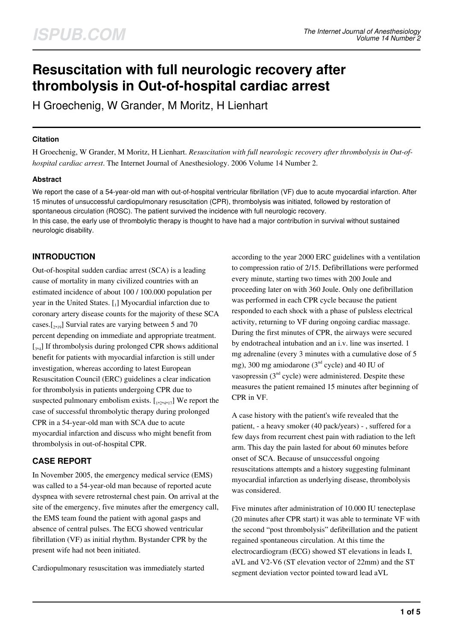# **Resuscitation with full neurologic recovery after thrombolysis in Out-of-hospital cardiac arrest**

H Groechenig, W Grander, M Moritz, H Lienhart

### **Citation**

H Groechenig, W Grander, M Moritz, H Lienhart. *Resuscitation with full neurologic recovery after thrombolysis in Out-ofhospital cardiac arrest*. The Internet Journal of Anesthesiology. 2006 Volume 14 Number 2.

### **Abstract**

We report the case of a 54-year-old man with out-of-hospital ventricular fibrillation (VF) due to acute myocardial infarction. After 15 minutes of unsuccessful cardiopulmonary resuscitation (CPR), thrombolysis was initiated, followed by restoration of spontaneous circulation (ROSC). The patient survived the incidence with full neurologic recovery. In this case, the early use of thrombolytic therapy is thought to have had a major contribution in survival without sustained neurologic disability.

# **INTRODUCTION**

Out-of-hospital sudden cardiac arrest (SCA) is a leading cause of mortality in many civilized countries with an estimated incidence of about 100 / 100.000 population per year in the United States. [1] Myocardial infarction due to coronary artery disease counts for the majority of these SCA cases. $[2, 19]$  Survial rates are varying between 5 and 70 percent depending on immediate and appropriate treatment. [<sub>3,4</sub>] If thrombolysis during prolonged CPR shows additional benefit for patients with myocardial infarction is still under investigation, whereas according to latest European Resuscitation Council (ERC) guidelines a clear indication for thrombolysis in patients undergoing CPR due to suspected pulmonary embolism exists.  $[1, 2, 4, 17]$  We report the case of successful thrombolytic therapy during prolonged CPR in a 54-year-old man with SCA due to acute myocardial infarction and discuss who might benefit from thrombolysis in out-of-hospital CPR.

# **CASE REPORT**

In November 2005, the emergency medical service (EMS) was called to a 54-year-old man because of reported acute dyspnea with severe retrosternal chest pain. On arrival at the site of the emergency, five minutes after the emergency call, the EMS team found the patient with agonal gasps and absence of central pulses. The ECG showed ventricular fibrillation (VF) as initial rhythm. Bystander CPR by the present wife had not been initiated.

Cardiopulmonary resuscitation was immediately started

according to the year 2000 ERC guidelines with a ventilation to compression ratio of 2/15. Defibrillations were performed every minute, starting two times with 200 Joule and proceeding later on with 360 Joule. Only one defibrillation was performed in each CPR cycle because the patient responded to each shock with a phase of pulsless electrical activity, returning to VF during ongoing cardiac massage. During the first minutes of CPR, the airways were secured by endotracheal intubation and an i.v. line was inserted. 1 mg adrenaline (every 3 minutes with a cumulative dose of 5 mg), 300 mg amiodarone ( $3<sup>nd</sup>$  cycle) and 40 IU of vasopressin  $(3<sup>nd</sup>$  cycle) were administered. Despite these measures the patient remained 15 minutes after beginning of CPR in VF.

A case history with the patient's wife revealed that the patient, - a heavy smoker (40 pack/years) - , suffered for a few days from recurrent chest pain with radiation to the left arm. This day the pain lasted for about 60 minutes before onset of SCA. Because of unsuccessful ongoing resuscitations attempts and a history suggesting fulminant myocardial infarction as underlying disease, thrombolysis was considered.

Five minutes after administration of 10.000 IU tenecteplase (20 minutes after CPR start) it was able to terminate VF with the second "post thrombolysis" defibrillation and the patient regained spontaneous circulation. At this time the electrocardiogram (ECG) showed ST elevations in leads I, aVL and V2-V6 (ST elevation vector of 22mm) and the ST segment deviation vector pointed toward lead aVL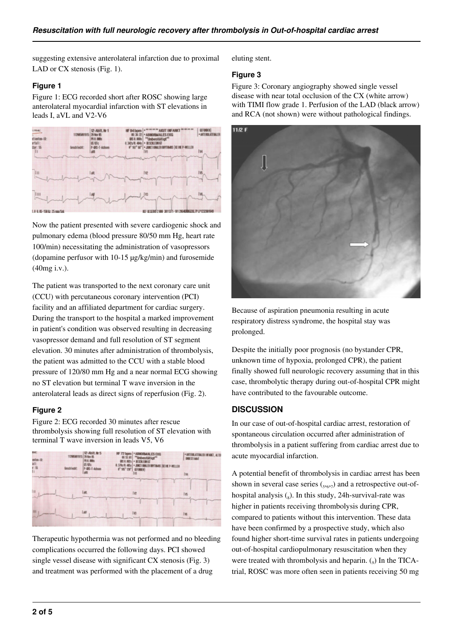suggesting extensive anterolateral infarction due to proximal LAD or CX stenosis (Fig. 1).

## **Figure 1**

Figure 1: ECG recorded short after ROSC showing large anterolateral myocardial infarction with ST elevations in leads I, aVL and V2-V6



Now the patient presented with severe cardiogenic shock and pulmonary edema (blood pressure 80/50 mm Hg, heart rate 100/min) necessitating the administration of vasopressors (dopamine perfusor with 10-15 µg/kg/min) and furosemide (40mg i.v.).

The patient was transported to the next coronary care unit (CCU) with percutaneous coronary intervention (PCI) facility and an affiliated department for cardiac surgery. During the transport to the hospital a marked improvement in patient's condition was observed resulting in decreasing vasopressor demand and full resolution of ST segment elevation. 30 minutes after administration of thrombolysis, the patient was admitted to the CCU with a stable blood pressure of 120/80 mm Hg and a near normal ECG showing no ST elevation but terminal T wave inversion in the anterolateral leads as direct signs of reperfusion (Fig. 2).

# **Figure 2**

Figure 2: ECG recorded 30 minutes after rescue thrombolysis showing full resolution of ST elevation with terminal T wave inversion in leads V5, V6



Therapeutic hypothermia was not performed and no bleeding complications occurred the following days. PCI showed single vessel disease with significant CX stenosis (Fig. 3) and treatment was performed with the placement of a drug

eluting stent.

## **Figure 3**

Figure 3: Coronary angiography showed single vessel disease with near total occlusion of the CX (white arrow) with TIMI flow grade 1. Perfusion of the LAD (black arrow) and RCA (not shown) were without pathological findings.



Because of aspiration pneumonia resulting in acute respiratory distress syndrome, the hospital stay was prolonged.

Despite the initially poor prognosis (no bystander CPR, unknown time of hypoxia, prolonged CPR), the patient finally showed full neurologic recovery assuming that in this case, thrombolytic therapy during out-of-hospital CPR might have contributed to the favourable outcome.

# **DISCUSSION**

In our case of out-of-hospital cardiac arrest, restoration of spontaneous circulation occurred after administration of thrombolysis in a patient suffering from cardiac arrest due to acute myocardial infarction.

A potential benefit of thrombolysis in cardiac arrest has been shown in several case series  $({}_{5567})$  and a retrospective out-ofhospital analysis  $\binom{8}{8}$ . In this study, 24h-survival-rate was higher in patients receiving thrombolysis during CPR, compared to patients without this intervention. These data have been confirmed by a prospective study, which also found higher short-time survival rates in patients undergoing out-of-hospital cardiopulmonary resuscitation when they were treated with thrombolysis and heparin.  $\binom{9}{9}$  In the TICAtrial, ROSC was more often seen in patients receiving 50 mg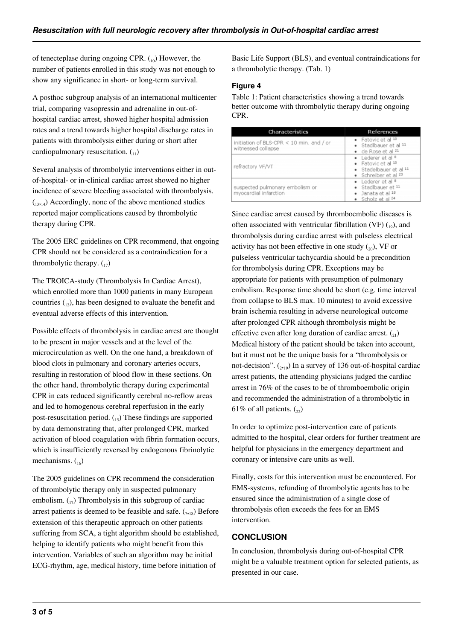of tenecteplase during ongoing CPR.  $_{10}$ ) However, the number of patients enrolled in this study was not enough to show any significance in short- or long-term survival.

A posthoc subgroup analysis of an international multicenter trial, comparing vasopressin and adrenaline in out-ofhospital cardiac arrest, showed higher hospital admission rates and a trend towards higher hospital discharge rates in patients with thrombolysis either during or short after cardiopulmonary resuscitation.  $\binom{1}{1}$ 

Several analysis of thrombolytic interventions either in outof-hospital- or in-clinical cardiac arrest showed no higher incidence of severe bleeding associated with thrombolysis.  $\binom{13,14}{}$  Accordingly, none of the above mentioned studies reported major complications caused by thrombolytic therapy during CPR.

The 2005 ERC guidelines on CPR recommend, that ongoing CPR should not be considered as a contraindication for a thrombolytic therapy.  $\binom{17}{17}$ 

The TROICA-study (Thrombolysis In Cardiac Arrest), which enrolled more than 1000 patients in many European countries  $\binom{n}{k}$ , has been designed to evaluate the benefit and eventual adverse effects of this intervention.

Possible effects of thrombolysis in cardiac arrest are thought to be present in major vessels and at the level of the microcirculation as well. On the one hand, a breakdown of blood clots in pulmonary and coronary arteries occurs, resulting in restoration of blood flow in these sections. On the other hand, thrombolytic therapy during experimental CPR in cats reduced significantly cerebral no-reflow areas and led to homogenous cerebral reperfusion in the early post-resuscitation period.  $\binom{15}{15}$  These findings are supported by data demonstrating that, after prolonged CPR, marked activation of blood coagulation with fibrin formation occurs, which is insufficiently reversed by endogenous fibrinolytic mechanisms.  $\binom{16}{16}$ 

The 2005 guidelines on CPR recommend the consideration of thrombolytic therapy only in suspected pulmonary embolism.  $_{17}$ ) Thrombolysis in this subgroup of cardiac arrest patients is deemed to be feasible and safe.  $\left( \frac{1}{7,18} \right)$  Before extension of this therapeutic approach on other patients suffering from SCA, a tight algorithm should be established, helping to identify patients who might benefit from this intervention. Variables of such an algorithm may be initial ECG-rhythm, age, medical history, time before initiation of

Basic Life Support (BLS), and eventual contraindications for a thrombolytic therapy. (Tab. 1)

### **Figure 4**

Table 1: Patient characteristics showing a trend towards better outcome with thrombolytic therapy during ongoing CPR.

| Characteristics                                                | References                                                                                |
|----------------------------------------------------------------|-------------------------------------------------------------------------------------------|
| initiation of BLS-CPR < 10 min. and / or<br>witnessed collapse | · Fatovic et al 10<br>· Stadlbauer et al 11<br>· de Rose et al <sup>21</sup>              |
| refractory VF/VT                                               | • Lederer et al 8<br>· Fatovic et al 10<br>· Stadelbauer et al 11<br>· Schreiber et al 23 |
| suspected pulmonary embolism or<br>myocardial infarction       | • Lederer et al 8<br>· Stadlbauer et 11<br>· Janata et al 18<br>· Scholz et al 24         |

Since cardiac arrest caused by thromboembolic diseases is often associated with ventricular fibrillation (VF)  $_{19}$ ), and thrombolysis during cardiac arrest with pulseless electrical activity has not been effective in one study  $\binom{20}{20}$ , VF or pulseless ventricular tachycardia should be a precondition for thrombolysis during CPR. Exceptions may be appropriate for patients with presumption of pulmonary embolism. Response time should be short (e.g. time interval from collapse to BLS max. 10 minutes) to avoid excessive brain ischemia resulting in adverse neurological outcome after prolonged CPR although thrombolysis might be effective even after long duration of cardiac arrest.  $\binom{21}{21}$ Medical history of the patient should be taken into account, but it must not be the unique basis for a "thrombolysis or not-decision".  $_{(2,19)}$  In a survey of 136 out-of-hospital cardiac arrest patients, the attending physicians judged the cardiac arrest in 76% of the cases to be of thromboembolic origin and recommended the administration of a thrombolytic in 61% of all patients.  $\binom{2}{2}$ 

In order to optimize post-intervention care of patients admitted to the hospital, clear orders for further treatment are helpful for physicians in the emergency department and coronary or intensive care units as well.

Finally, costs for this intervention must be encountered. For EMS-systems, refunding of thrombolytic agents has to be ensured since the administration of a single dose of thrombolysis often exceeds the fees for an EMS intervention.

# **CONCLUSION**

In conclusion, thrombolysis during out-of-hospital CPR might be a valuable treatment option for selected patients, as presented in our case.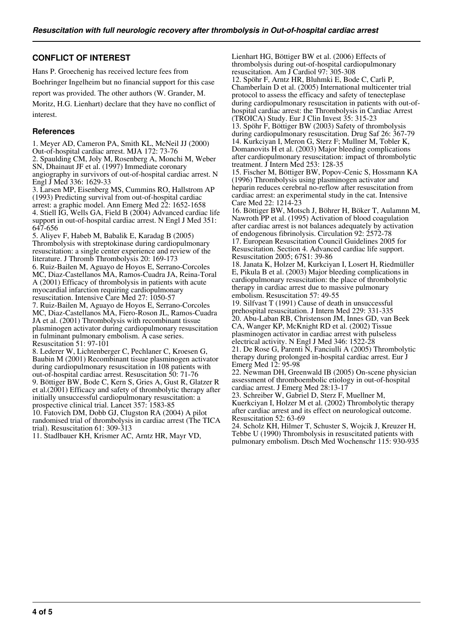## **CONFLICT OF INTEREST**

Hans P. Groechenig has received lecture fees from Boehringer Ingelheim but no financial support for this case

report was provided. The other authors (W. Grander, M.

Moritz, H.G. Lienhart) declare that they have no conflict of interest.

#### **References**

1. Meyer AD, Cameron PA, Smith KL, McNeil JJ (2000) Out-of-hospital cardiac arrest. MJA 172: 73-76 2. Spaulding CM, Joly M, Rosenberg A, Monchi M, Weber SN, Dhainaut JF et al. (1997) Immediate coronary angiography in survivors of out-of-hospital cardiac arrest. N Engl J Med 336: 1629-33 3. Larsen MP, Eisenberg MS, Cummins RO, Hallstrom AP (1993) Predicting survival from out-of-hospital cardiac arrest: a graphic model. Ann Emerg Med 22: 1652-1658 4. Stiell IG, Wells GA, Field B (2004) Advanced cardiac life support in out-of-hospital cardiac arrest. N Engl J Med 351: 647-656

5. Aliyev F, Habeb M, Babalik E, Karadag B (2005) Thrombolysis with streptokinase during cardiopulmonary resuscitation: a single center experience and review of the literature. J Thromb Thrombolysis 20: 169-173

6. Ruiz-Bailen M, Aguayo de Hoyos E, Serrano-Corcoles MC, Diaz-Castellanos MA, Ramos-Cuadra JA, Reina-Toral A (2001) Efficacy of thrombolysis in patients with acute myocardial infarction requiring cardiopulmonary resuscitation. Intensive Care Med 27: 1050-57

7. Ruiz-Bailen M, Aguayo de Hoyos E, Serrano-Corcoles MC, Diaz-Castellanos MA, Fiero-Roson JL, Ramos-Cuadra JA et al. (2001) Thrombolysis with recombinant tissue plasminogen activator during cardiopulmonary resuscitation in fulminant pulmonary embolism. A case series. Resuscitation 51: 97-101

8. Lederer W, Lichtenberger C, Pechlaner C, Kroesen G, Baubin M (2001) Recombinant tissue plasminogen activator during cardiopulmonary resuscitation in 108 patients with out-of-hospital cardiac arrest. Resuscitation 50: 71-76 9. Böttiger BW, Bode C, Kern S, Gries A, Gust R, Glatzer R et al.(2001) Efficacy and safety of thrombolytic therapy after initially unsuccessful cardiopulmonary resuscitation: a prospective clinical trial. Lancet 357: 1583-85

10. Fatovich DM, Dobb GJ, Clugston RA (2004) A pilot randomised trial of thrombolysis in cardiac arrest (The TICA trial). Resuscitation 61: 309-313

11. Stadlbauer KH, Krismer AC, Arntz HR, Mayr VD,

Lienhart HG, Böttiger BW et al. (2006) Effects of thrombolysis during out-of-hospital cardiopulmonary resuscitation. Am J Cardiol 97: 305-308 12. Spöhr F, Arntz HR, Bluhmki E, Bode C, Carli P, Chamberlain D et al. (2005) International multicenter trial protocol to assess the efficacy and safety of tenecteplase during cardiopulmonary resuscitation in patients with out-ofhospital cardiac arrest: the Thrombolysis in Cardiac Arrest (TROICA) Study. Eur J Clin Invest 35: 315-23 13. Spöhr F, Böttiger BW (2003) Safety of thrombolysis during cardiopulmonary resuscitation. Drug Saf 26: 367-79 14. Kurkciyan I, Meron G, Sterz F; Mullner M, Tobler K, Domanovits H et al. (2003) Major bleeding complications after cardiopulmonary resuscitation: impact of thrombolytic treatment. J Intern Med 253: 128-35 15. Fischer M, Böttiger BW, Popov-Cenic S, Hossmann KA

(1996) Thrombolysis using plasminogen activator and heparin reduces cerebral no-reflow after resuscitation from cardiac arrest: an experimental study in the cat. Intensive Care Med 22: 1214-23

16. Böttiger BW, Motsch J, Böhrer H, Böker T, Aulamnn M, Nawroth PP et al. (1995) Activation of blood coagulation after cardiac arrest is not balances adequately by activation of endogenous fibrinolysis. Circulation 92: 2572-78 17. European Resuscitation Council Guidelines 2005 for Resuscitation. Section 4. Advanced cardiac life support. Resuscitation 2005; 67S1: 39-86

18. Janata K, Holzer M, Kurkciyan I, Losert H, Riedmüller E, Pikula B et al. (2003) Major bleeding complications in cardiopulmonary resuscitation: the place of thrombolytic therapy in cardiac arrest due to massive pulmonary embolism. Resuscitation 57: 49-55

19. Silfvast T (1991) Cause of death in unsuccessful prehospital resuscitation. J Intern Med 229: 331-335 20. Abu-Laban RB, Christenson JM, Innes GD, van Beek CA, Wanger KP, McKnight RD et al. (2002) Tissue plasminogen activator in cardiac arrest with pulseless electrical activity. N Engl J Med 346: 1522-28

21. De Rose G, Parenti N, Fanciulli A (2005) Thrombolytic therapy during prolonged in-hospital cardiac arrest. Eur J Emerg Med 12: 95-98

22. Newman DH, Greenwald IB (2005) On-scene physician assessment of thromboembolic etiology in out-of-hospital cardiac arrest. J Emerg Med 28:13-17

23. Schreiber W, Gabriel D, Sterz F, Muellner M, Kuerkciyan I, Holzer M et al. (2002) Thrombolytic therapy after cardiac arrest and its effect on neurological outcome. Resuscitation 52: 63-69

24. Scholz KH, Hilmer T, Schuster S, Wojcik J, Kreuzer H, Tebbe U (1990) Thrombolysis in resuscitated patients with pulmonary embolism. Dtsch Med Wochenschr 115: 930-935